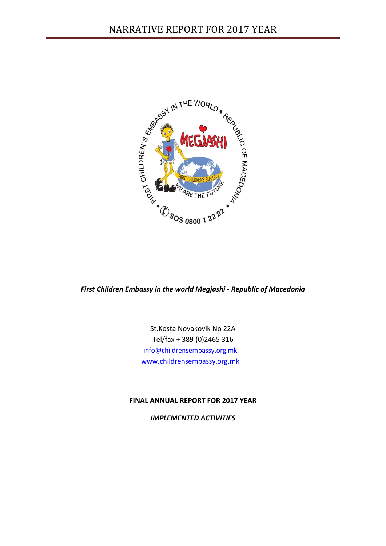

*First Children Embassy in the world Megjashi - Republic of Macedonia*

St.Kosta Novakovik No 22A Tel/fax + 389 (0)2465 316 [info@childrensembassy.org.mk](mailto:info@childrensembassy.org.mk) [www.childrensembassy.org.mk](mailto:info@childrensembassy.org.mk)

## **FINAL ANNUAL REPORT FOR 2017 YEAR**

*IMPLEMENTED ACTIVITIES*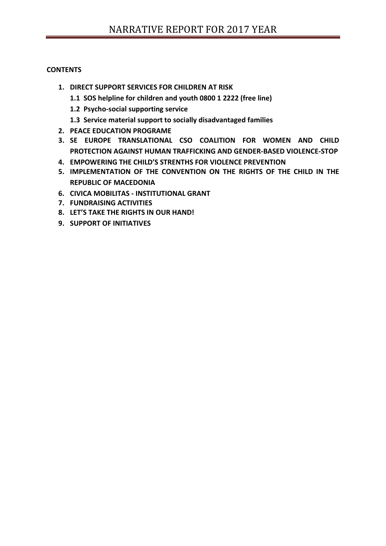## **CONTENTS**

- **1. DIRECT SUPPORT SERVICES FOR CHILDREN AT RISK** 
	- **1.1 SOS helpline for children and youth 0800 1 2222 (free line)**
	- **1.2 Psycho-social supporting service**
	- **1.3 Service material support to socially disadvantaged families**
- **2. PEACE EDUCATION PROGRAME**
- **3. SE EUROPE TRANSLATIONAL CSO COALITION FOR WOMEN AND CHILD PROTECTION AGAINST HUMAN TRAFFICKING AND GENDER-BASED VIOLENCE-STOP**
- **4. EMPOWERING THE CHILD'S STRENTHS FOR VIOLENCE PREVENTION**
- **5. IMPLEMENTATION OF THE CONVENTION ON THE RIGHTS OF THE CHILD IN THE REPUBLIC OF MACEDONIA**
- **6. CIVICA MOBILITAS - INSTITUTIONAL GRANT**
- **7. FUNDRAISING ACTIVITIES**
- **8. LET'S TAKE THE RIGHTS IN OUR HAND!**
- **9. SUPPORT OF INITIATIVES**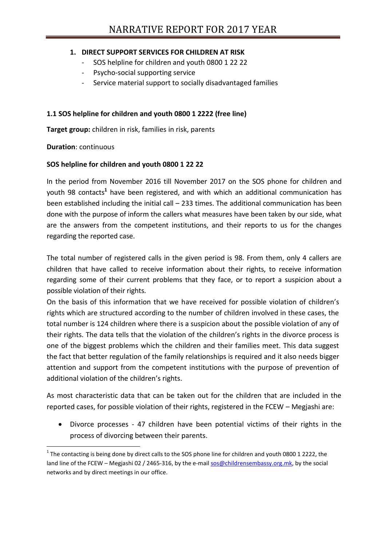## **1. DIRECT SUPPORT SERVICES FOR CHILDREN AT RISK**

- SOS helpline for children and youth 0800 1 22 22
- Psycho-social supporting service
- Service material support to socially disadvantaged families

## **1.1 SOS helpline for children and youth 0800 1 2222 (free line)**

**Target group:** children in risk, families in risk, parents

**Duration**: continuous

**.** 

## **SOS helpline for children and youth 0800 1 22 22**

In the period from November 2016 till November 2017 on the SOS phone for children and youth 98 contacts**<sup>1</sup>** have been registered, and with which an additional communication has been established including the initial call – 233 times. The additional communication has been done with the purpose of inform the callers what measures have been taken by our side, what are the answers from the competent institutions, and their reports to us for the changes regarding the reported case.

The total number of registered calls in the given period is 98. From them, only 4 callers are children that have called to receive information about their rights, to receive information regarding some of their current problems that they face, or to report a suspicion about a possible violation of their rights.

On the basis of this information that we have received for possible violation of children's rights which are structured according to the number of children involved in these cases, the total number is 124 children where there is a suspicion about the possible violation of any of their rights. The data tells that the violation of the children's rights in the divorce process is one of the biggest problems which the children and their families meet. This data suggest the fact that better regulation of the family relationships is required and it also needs bigger attention and support from the competent institutions with the purpose of prevention of additional violation of the children's rights.

As most characteristic data that can be taken out for the children that are included in the reported cases, for possible violation of their rights, registered in the FCEW – Megjashi are:

 Divorce processes - 47 children have been potential victims of their rights in the process of divorcing between their parents.

 $1$  The contacting is being done by direct calls to the SOS phone line for children and youth 0800 1 2222, the land line of the FCEW – Megjashi 02 / 2465-316, by the e-mail [sos@childrensembassy.org.mk,](mailto:sos@childrensembassy.org.mk) by the social networks and by direct meetings in our office.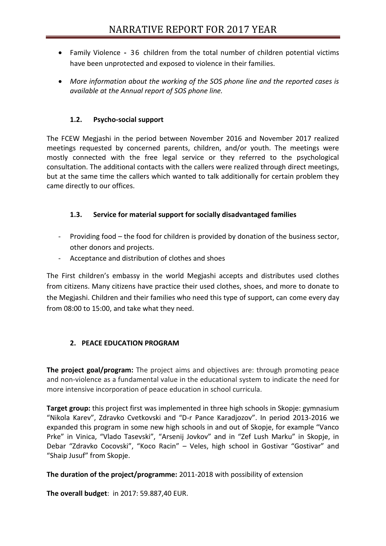- Family Violence **-** 36 children from the total number of children potential victims have been unprotected and exposed to violence in their families.
- *More information about the working of the SOS phone line and the reported cases is available at the Annual report of SOS phone line.*

## **1.2. Psycho-social support**

The FCEW Megjashi in the period between November 2016 and November 2017 realized meetings requested by concerned parents, children, and/or youth. The meetings were mostly connected with the free legal service or they referred to the psychological consultation. The additional contacts with the callers were realized through direct meetings, but at the same time the callers which wanted to talk additionally for certain problem they came directly to our offices.

## **1.3. Service for material support for socially disadvantaged families**

- Providing food the food for children is provided by donation of the business sector, other donors and projects.
- Acceptance and distribution of clothes and shoes

The First children's embassy in the world Megjashi accepts and distributes used clothes from citizens. Many citizens have practice their used clothes, shoes, and more to donate to the Megjashi. Children and their families who need this type of support, can come every day from 08:00 to 15:00, and take what they need.

## **2. PEACE EDUCATION PROGRAM**

**The project goal/program:** The project aims and objectives are: through promoting peace and non-violence as a fundamental value in the educational system to indicate the need for more intensive incorporation of peace education in school curricula.

**Target group:** this project first was implemented in three high schools in Skopje: gymnasium "Nikola Karev", Zdravko Cvetkovski and "D-r Pance Karadjozov". In period 2013-2016 we expanded this program in some new high schools in and out of Skopje, for example "Vanco Prke" in Vinica, "Vlado Tasevski", "Arsenij Jovkov" and in "Zef Lush Marku" in Skopje, in Debar "Zdravko Cocovski", "Koco Racin" – Veles, high school in Gostivar "Gostivar" and "Shaip Jusuf" from Skopje.

## **The duration of the project/programme:** 2011-2018 with possibility of extension

**The overall budget**: in 2017: 59.887,40 EUR.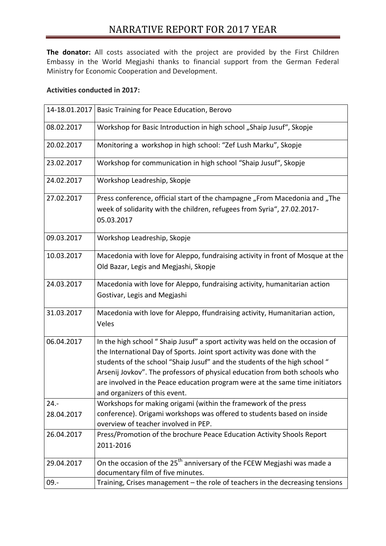**The donator:** All costs associated with the project are provided by the First Children Embassy in the World Megjashi thanks to financial support from the German Federal Ministry for Economic Cooperation and Development.

## **Activities conducted in 2017:**

| 14-18.01.2017 | Basic Training for Peace Education, Berovo                                                                                                                                                                                                                                                                                                                                                                                              |
|---------------|-----------------------------------------------------------------------------------------------------------------------------------------------------------------------------------------------------------------------------------------------------------------------------------------------------------------------------------------------------------------------------------------------------------------------------------------|
| 08.02.2017    | Workshop for Basic Introduction in high school "Shaip Jusuf", Skopje                                                                                                                                                                                                                                                                                                                                                                    |
| 20.02.2017    | Monitoring a workshop in high school: "Zef Lush Marku", Skopje                                                                                                                                                                                                                                                                                                                                                                          |
| 23.02.2017    | Workshop for communication in high school "Shaip Jusuf", Skopje                                                                                                                                                                                                                                                                                                                                                                         |
| 24.02.2017    | Workshop Leadreship, Skopje                                                                                                                                                                                                                                                                                                                                                                                                             |
| 27.02.2017    | Press conference, official start of the champagne "From Macedonia and "The<br>week of solidarity with the children, refugees from Syria", 27.02.2017-<br>05.03.2017                                                                                                                                                                                                                                                                     |
| 09.03.2017    | Workshop Leadreship, Skopje                                                                                                                                                                                                                                                                                                                                                                                                             |
| 10.03.2017    | Macedonia with love for Aleppo, fundraising activity in front of Mosque at the<br>Old Bazar, Legis and Megjashi, Skopje                                                                                                                                                                                                                                                                                                                 |
| 24.03.2017    | Macedonia with love for Aleppo, fundraising activity, humanitarian action<br>Gostivar, Legis and Megjashi                                                                                                                                                                                                                                                                                                                               |
| 31.03.2017    | Macedonia with love for Aleppo, ffundraising activity, Humanitarian action,<br>Veles                                                                                                                                                                                                                                                                                                                                                    |
| 06.04.2017    | In the high school " Shaip Jusuf" a sport activity was held on the occasion of<br>the International Day of Sports. Joint sport activity was done with the<br>students of the school "Shaip Jusuf" and the students of the high school "<br>Arsenij Jovkov". The professors of physical education from both schools who<br>are involved in the Peace education program were at the same time initiators<br>and organizers of this event. |
| $24. -$       | Workshops for making origami (within the framework of the press                                                                                                                                                                                                                                                                                                                                                                         |
| 28.04.2017    | conference). Origami workshops was offered to students based on inside<br>overview of teacher involved in PEP.                                                                                                                                                                                                                                                                                                                          |
| 26.04.2017    | Press/Promotion of the brochure Peace Education Activity Shools Report<br>2011-2016                                                                                                                                                                                                                                                                                                                                                     |
| 29.04.2017    | On the occasion of the 25 <sup>th</sup> anniversary of the FCEW Megjashi was made a<br>documentary film of five minutes.                                                                                                                                                                                                                                                                                                                |
| $09. -$       | Training, Crises management - the role of teachers in the decreasing tensions                                                                                                                                                                                                                                                                                                                                                           |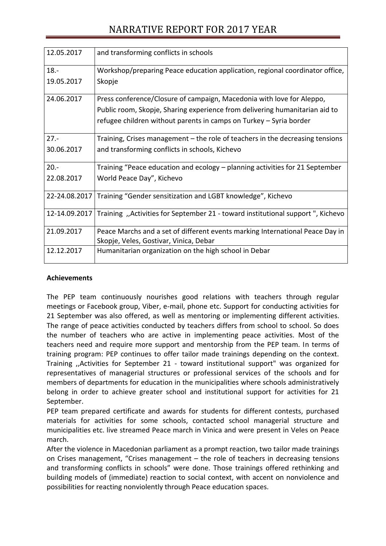| 12.05.2017    | and transforming conflicts in schools                                           |
|---------------|---------------------------------------------------------------------------------|
| $18. -$       | Workshop/preparing Peace education application, regional coordinator office,    |
| 19.05.2017    | Skopje                                                                          |
| 24.06.2017    | Press conference/Closure of campaign, Macedonia with love for Aleppo,           |
|               | Public room, Skopje, Sharing experience from delivering humanitarian aid to     |
|               | refugee children without parents in camps on Turkey - Syria border              |
| $27. -$       | Training, Crises management – the role of teachers in the decreasing tensions   |
| 30.06.2017    | and transforming conflicts in schools, Kichevo                                  |
| $20. -$       | Training "Peace education and ecology – planning activities for 21 September    |
| 22.08.2017    | World Peace Day", Kichevo                                                       |
| 22-24.08.2017 | Training "Gender sensitization and LGBT knowledge", Kichevo                     |
| 12-14.09.2017 | Training, "Activities for September 21 - toward institutional support", Kichevo |
| 21.09.2017    | Peace Marchs and a set of different events marking International Peace Day in   |
|               | Skopje, Veles, Gostivar, Vinica, Debar                                          |
| 12.12.2017    | Humanitarian organization on the high school in Debar                           |

## **Achievements**

The PEP team continuously nourishes good relations with teachers through regular meetings or Facebook group, Viber, e-mail, phone etc. Support for conducting activities for 21 September was also offered, as well as mentoring or implementing different activities. The range of peace activities conducted by teachers differs from school to school. So does the number of teachers who are active in implementing peace activities. Most of the teachers need and require more support and mentorship from the PEP team. In terms of training program: PEP continues to offer tailor made trainings depending on the context. Training ,,Activities for September 21 - toward institutional support" was organized for representatives of managerial structures or professional services of the schools and for members of departments for education in the municipalities where schools administratively belong in order to achieve greater school and institutional support for activities for 21 September.

PEP team prepared certificate and awards for students for different contests, purchased materials for activities for some schools, contacted school managerial structure and municipalities etc. live streamed Peace march in Vinica and were present in Veles on Peace march.

After the violence in Macedonian parliament as a prompt reaction, two tailor made trainings on Crises management, "Crises management – the role of teachers in decreasing tensions and transforming conflicts in schools" were done. Those trainings offered rethinking and building models of (immediate) reaction to social context, with accent on nonviolence and possibilities for reacting nonviolently through Peace education spaces.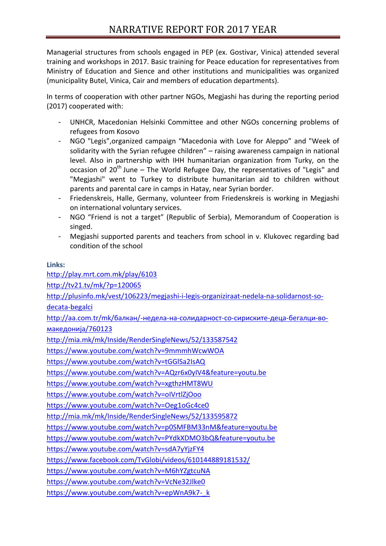Managerial structures from schools engaged in PEP (ex. Gostivar, Vinica) attended several training and workshops in 2017. Basic training for Peace education for representatives from Ministry of Education and Sience and other institutions and municipalities was organized (municipality Butel, Vinica, Cair and members of education departments).

In terms of cooperation with other partner NGOs, Megjashi has during the reporting period (2017) cooperated with:

- UNHCR, Macedonian Helsinki Committee and other NGOs concerning problems of refugees from Kosovo
- NGO "Legis",organized campaign "Macedonia with Love for Aleppo" and "Week of solidarity with the Syrian refugee children" – raising awareness campaign in national level. Also in partnership with IHH humanitarian organization from Turky, on the occasion of  $20<sup>th</sup>$  June – The World Refugee Day, the representatives of "Legis" and "Megjashi" went to Turkey to distribute humanitarian aid to children without parents and parental care in camps in Hatay, near Syrian border.
- Friedenskreis, Halle, Germany, volunteer from Friedenskreis is working in Megjashi on international voluntary services.
- NGO "Friend is not a target" (Republic of Serbia), Memorandum of Cooperation is singed.
- Megjashi supported parents and teachers from school in v. Klukovec regarding bad condition of the school

# **Links:**

<http://play.mrt.com.mk/play/6103>

<http://tv21.tv/mk/?p=120065>

[http://plusinfo.mk/vest/106223/megjashi-i-legis-organiziraat-nedela-na-solidarnost-so-](http://plusinfo.mk/vest/106223/megjashi-i-legis-organiziraat-nedela-na-solidarnost-so-decata-begalci)

[decata-begalci](http://plusinfo.mk/vest/106223/megjashi-i-legis-organiziraat-nedela-na-solidarnost-so-decata-begalci)

[http://aa.com.tr/mk/балкан/](http://aa.com.tr/mk/балкан/-недела-на-солидарност-со-сириските-деца-бегалци-во-македонија/760123)-недела-на-солидарност-со-сириските-деца-бегалци-во[македонија/760123](http://aa.com.tr/mk/балкан/-недела-на-солидарност-со-сириските-деца-бегалци-во-македонија/760123)

<http://mia.mk/mk/Inside/RenderSingleNews/52/133587542>

<https://www.youtube.com/watch?v=9mmmhWcwWOA>

https://www.youtube.com/watch?v=tGGlSa2IsAQ

<https://www.youtube.com/watch?v=AQzr6x0yIV4&feature=youtu.be>

<https://www.youtube.com/watch?v=xgthzHMT8WU>

<https://www.youtube.com/watch?v=oIVrtlZjOoo>

<https://www.youtube.com/watch?v=Oeg1oGc4ce0>

<http://mia.mk/mk/Inside/RenderSingleNews/52/133595872>

<https://www.youtube.com/watch?v=p0SMFBM33nM&feature=youtu.be>

<https://www.youtube.com/watch?v=PYdkXDMO3bQ&feature=youtu.be>

<https://www.youtube.com/watch?v=sdA7yYjzFY4>

<https://www.facebook.com/TvGlobi/videos/610144889181532/>

<https://www.youtube.com/watch?v=M6hYZgtcuNA>

<https://www.youtube.com/watch?v=VcNe32Jlke0>

[https://www.youtube.com/watch?v=epWnA9k7-\\_k](https://www.youtube.com/watch?v=epWnA9k7-_k)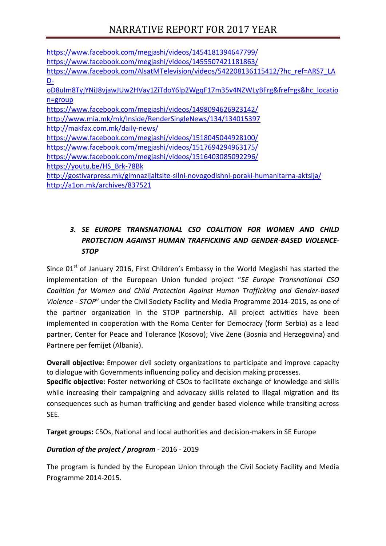| https://www.facebook.com/megjashi/videos/1454181394647799/                             |
|----------------------------------------------------------------------------------------|
| https://www.facebook.com/megjashi/videos/1455507421181863/                             |
| https://www.facebook.com/AlsatMTelevision/videos/542208136115412/?hc ref=ARS7 LA       |
| <u>D-</u>                                                                              |
| oD8uIm8TyjYNiJ8vjawJUw2HVay1ZiTdoY6lp2WgqF17m35v4NZWLyBFrg&fref=gs&hc locatio          |
| $n =$ group                                                                            |
| https://www.facebook.com/megjashi/videos/1498094626923142/                             |
| http://www.mia.mk/mk/Inside/RenderSingleNews/134/134015397                             |
| http://makfax.com.mk/daily-news/                                                       |
| https://www.facebook.com/megjashi/videos/1518045044928100/                             |
| https://www.facebook.com/megjashi/videos/1517694294963175/                             |
| https://www.facebook.com/megjashi/videos/1516403085092296/                             |
| https://youtu.be/HS Brk-78Bk                                                           |
| http://gostivarpress.mk/gimnazijaltsite-silni-novogodishni-poraki-humanitarna-aktsija/ |
| http://a1on.mk/archives/837521                                                         |

# *3. SE EUROPE TRANSNATIONAL CSO COALITION FOR WOMEN AND CHILD PROTECTION AGAINST HUMAN TRAFFICKING AND GENDER-BASED VIOLENCE-STOP*

Since  $01<sup>st</sup>$  of January 2016, First Children's Embassy in the World Megjashi has started the implementation of the European Union funded project "*SE Europe Transnational CSO Coalition for Women and Child Protection Against Human Trafficking and Gender-based Violence - STOP*" under the Civil Society Facility and Media Programme 2014-2015, as one of the partner organization in the STOP partnership. All project activities have been implemented in cooperation with the Roma Center for Democracy (form Serbia) as a lead partner, Center for Peace and Tolerance (Kosovo); Vive Zene (Bosnia and Herzegovina) and Partnere per femijet (Albania).

**Overall objective:** Empower civil society organizations to participate and improve capacity to dialogue with Governments influencing policy and decision making processes.

**Specific objective:** Foster networking of CSOs to facilitate exchange of knowledge and skills while increasing their campaigning and advocacy skills related to illegal migration and its consequences such as human trafficking and gender based violence while transiting across SEE.

**Target groups:** CSOs, National and local authorities and decision-makers in SE Europe

## *Duration of the project / program* - 2016 - 2019

The program is funded by the European Union through the Civil Society Facility and Media Programme 2014-2015.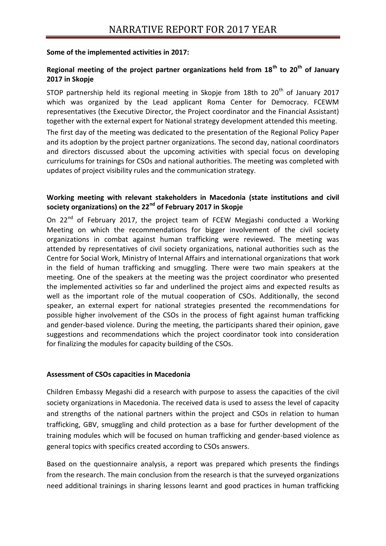#### **Some of the implemented activities in 2017:**

## **Regional meeting of the project partner organizations held from 18th to 20th of January 2017 in Skopje**

STOP partnership held its regional meeting in Skopje from 18th to  $20<sup>th</sup>$  of January 2017 which was organized by the Lead applicant Roma Center for Democracy. FCEWM representatives (the Executive Director, the Project coordinator and the Financial Assistant) together with the external expert for National strategy development attended this meeting.

The first day of the meeting was dedicated to the presentation of the Regional Policy Paper and its adoption by the project partner organizations. The second day, national coordinators and directors discussed about the upcoming activities with special focus on developing curriculums for trainings for CSOs and national authorities. The meeting was completed with updates of project visibility rules and the communication strategy.

## **Working meeting with relevant stakeholders in Macedonia (state institutions and civil society organizations) on the 22nd of February 2017 in Skopje**

On 22<sup>nd</sup> of February 2017, the project team of FCEW Megjashi conducted a Working Meeting on which the recommendations for bigger involvement of the civil society organizations in combat against human trafficking were reviewed. The meeting was attended by representatives of civil society organizations, national authorities such as the Centre for Social Work, Ministry of Internal Affairs and international organizations that work in the field of human trafficking and smuggling. There were two main speakers at the meeting. One of the speakers at the meeting was the project coordinator who presented the implemented activities so far and underlined the project aims and expected results as well as the important role of the mutual cooperation of CSOs. Additionally, the second speaker, an external expert for national strategies presented the recommendations for possible higher involvement of the CSOs in the process of fight against human trafficking and gender-based violence. During the meeting, the participants shared their opinion, gave suggestions and recommendations which the project coordinator took into consideration for finalizing the modules for capacity building of the CSOs.

## **Assessment of CSOs capacities in Macedonia**

Children Embassy Megashi did a research with purpose to assess the capacities of the civil society organizations in Macedonia. The received data is used to assess the level of capacity and strengths of the national partners within the project and CSOs in relation to human trafficking, GBV, smuggling and child protection as a base for further development of the training modules which will be focused on human trafficking and gender-based violence as general topics with specifics created according to CSOs answers.

Based on the questionnaire analysis, a report was prepared which presents the findings from the research. The main conclusion from the research is that the surveyed organizations need additional trainings in sharing lessons learnt and good practices in human trafficking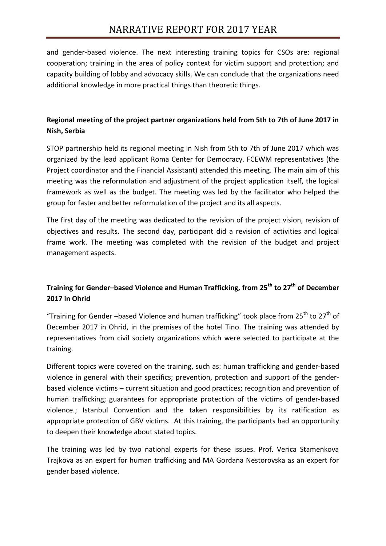and gender-based violence. The next interesting training topics for CSOs are: regional cooperation; training in the area of policy context for victim support and protection; and capacity building of lobby and advocacy skills. We can conclude that the organizations need additional knowledge in more practical things than theoretic things.

## **Regional meeting of the project partner organizations held from 5th to 7th of June 2017 in Nish, Serbia**

STOP partnership held its regional meeting in Nish from 5th to 7th of June 2017 which was organized by the lead applicant Roma Center for Democracy. FCEWM representatives (the Project coordinator and the Financial Assistant) attended this meeting. The main aim of this meeting was the reformulation and adjustment of the project application itself, the logical framework as well as the budget. The meeting was led by the facilitator who helped the group for faster and better reformulation of the project and its all aspects.

The first day of the meeting was dedicated to the revision of the project vision, revision of objectives and results. The second day, participant did a revision of activities and logical frame work. The meeting was completed with the revision of the budget and project management aspects.

## **Training for Gender–based Violence and Human Trafficking, from 25th to 27th of December 2017 in Ohrid**

"Training for Gender –based Violence and human trafficking" took place from 25<sup>th</sup> to 27<sup>th</sup> of December 2017 in Ohrid, in the premises of the hotel Tino. The training was attended by representatives from civil society organizations which were selected to participate at the training.

Different topics were covered on the training, such as: human trafficking and gender-based violence in general with their specifics; prevention, protection and support of the genderbased violence victims – current situation and good practices; recognition and prevention of human trafficking; guarantees for appropriate protection of the victims of gender-based violence.; Istanbul Convention and the taken responsibilities by its ratification as appropriate protection of GBV victims. At this training, the participants had an opportunity to deepen their knowledge about stated topics.

The training was led by two national experts for these issues. Prof. Verica Stamenkova Trajkova as an expert for human trafficking and MA Gordana Nestorovska as an expert for gender based violence.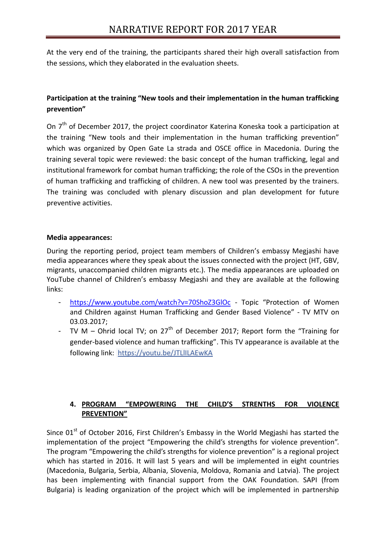At the very end of the training, the participants shared their high overall satisfaction from the sessions, which they elaborated in the evaluation sheets.

## **Participation at the training "New tools and their implementation in the human trafficking prevention"**

On 7<sup>th</sup> of December 2017, the project coordinator Katerina Koneska took a participation at the training "New tools and their implementation in the human trafficking prevention" which was organized by Open Gate La strada and OSCE office in Macedonia. During the training several topic were reviewed: the basic concept of the human trafficking, legal and institutional framework for combat human trafficking; the role of the CSOs in the prevention of human trafficking and trafficking of children. A new tool was presented by the trainers. The training was concluded with plenary discussion and plan development for future preventive activities.

## **Media appearances:**

During the reporting period, project team members of Children's embassy Megjashi have media appearances where they speak about the issues connected with the project (HT, GBV, migrants, unaccompanied children migrants etc.). The media appearances are uploaded on YouTube channel of Children's embassy Megjashi and they are available at the following links:

- <https://www.youtube.com/watch?v=70ShoZ3GlOc> Topic "Protection of Women and Children against Human Trafficking and Gender Based Violence" - TV MTV on 03.03.2017;
- TV M Ohrid local TV; on 27<sup>th</sup> of December 2017; Report form the "Training for gender-based violence and human trafficking". This TV appearance is available at the following link: [https://youtu.be/JTLlILAEwKA](https://l.facebook.com/l.php?u=https%3A%2F%2Fyoutu.be%2FJTLlILAEwKA&h=ATMjzZ3DEXIJdCb1KTSTHGN3LpaOrxAXBwyyBJsyRIU_OdsSLkGMWcRJy-O68_dhWlnghFf6LC9eIzoKsjm-RUr0KlHwU_rUgtQMXZe7RarwEEJFRoqkEgHfa_aJkYKhyoI)

## **4. PROGRAM "EMPOWERING THE CHILD'S STRENTHS FOR VIOLENCE PREVENTION"**

Since  $01<sup>st</sup>$  of October 2016, First Children's Embassy in the World Megjashi has started the implementation of the project "Empowering the child's strengths for violence prevention". The program "Empowering the child's strengths for violence prevention" is a regional project which has started in 2016. It will last 5 years and will be implemented in eight countries (Macedonia, Bulgaria, Serbia, Albania, Slovenia, Moldova, Romania and Latvia). The project has been implementing with financial support from the OAK Foundation. SAPI (from Bulgaria) is leading organization of the project which will be implemented in partnership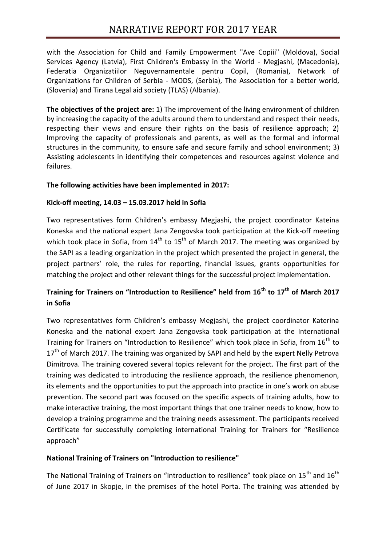with the Association for Child and Family Empowerment "Ave Copiii" (Moldova), Social Services Agency (Latvia), First Children's Embassy in the World - Megjashi, (Macedonia), Federatia Organizatiilor Neguvernamentale pentru Copil, (Romania), Network of Organizations for Children of Serbia - MODS, (Serbia), The Association for a better world, (Slovenia) and Tirana Legal aid society (TLAS) (Albania).

**The objectives of the project are:** 1) The improvement of the living environment of children by increasing the capacity of the adults around them to understand and respect their needs, respecting their views and ensure their rights on the basis of resilience approach; 2) Improving the capacity of professionals and parents, as well as the formal and informal structures in the community, to ensure safe and secure family and school environment; 3) Assisting adolescents in identifying their competences and resources against violence and failures.

## **The following activities have been implemented in 2017:**

#### **Kick-off meeting, 14.03 – 15.03.2017 held in Sofia**

Two representatives form Children's embassy Megjashi, the project coordinator Kateina Koneska and the national expert Jana Zengovska took participation at the Kick-off meeting which took place in Sofia, from  $14<sup>th</sup>$  to  $15<sup>th</sup>$  of March 2017. The meeting was organized by the SAPI as a leading organization in the project which presented the project in general, the project partners' role, the rules for reporting, financial issues, grants opportunities for matching the project and other relevant things for the successful project implementation.

## **Training for Trainers on "Introduction to Resilience" held from 16th to 17th of March 2017 in Sofia**

Two representatives form Children's embassy Megjashi, the project coordinator Katerina Koneska and the national expert Jana Zengovska took participation at the International Training for Trainers on "Introduction to Resilience" which took place in Sofia, from  $16<sup>th</sup>$  to 17<sup>th</sup> of March 2017. The training was organized by SAPI and held by the expert Nelly Petrova Dimitrova. The training covered several topics relevant for the project. The first part of the training was dedicated to introducing the resilience approach, the resilience phenomenon, its elements and the opportunities to put the approach into practice in one's work on abuse prevention. The second part was focused on the specific aspects of training adults, how to make interactive training, the most important things that one trainer needs to know, how to develop a training programme and the training needs assessment. The participants received Certificate for successfully completing international Training for Trainers for "Resilience approach"

## **National Training of Trainers on "Introduction to resilience"**

The National Training of Trainers on "Introduction to resilience" took place on  $15<sup>th</sup>$  and  $16<sup>th</sup>$ of June 2017 in Skopje, in the premises of the hotel Porta. The training was attended by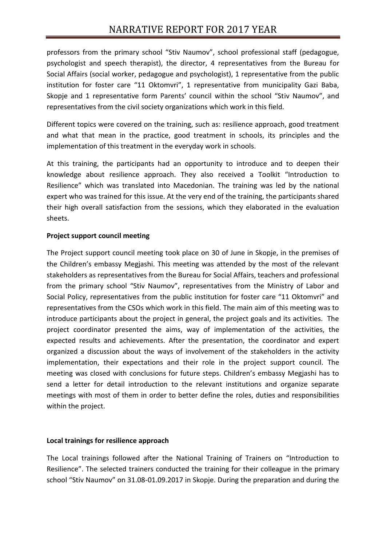professors from the primary school "Stiv Naumov", school professional staff (pedagogue, psychologist and speech therapist), the director, 4 representatives from the Bureau for Social Affairs (social worker, pedagogue and psychologist), 1 representative from the public institution for foster care "11 Oktomvri", 1 representative from municipality Gazi Baba, Skopje and 1 representative form Parents' council within the school "Stiv Naumov", and representatives from the civil society organizations which work in this field.

Different topics were covered on the training, such as: resilience approach, good treatment and what that mean in the practice, good treatment in schools, its principles and the implementation of this treatment in the everyday work in schools.

At this training, the participants had an opportunity to introduce and to deepen their knowledge about resilience approach. They also received a Toolkit "Introduction to Resilience" which was translated into Macedonian. The training was led by the national expert who was trained for this issue. At the very end of the training, the participants shared their high overall satisfaction from the sessions, which they elaborated in the evaluation sheets.

## **Project support council meeting**

The Project support council meeting took place on 30 of June in Skopje, in the premises of the Children's embassy Megjashi. This meeting was attended by the most of the relevant stakeholders as representatives from the Bureau for Social Affairs, teachers and professional from the primary school "Stiv Naumov", representatives from the Ministry of Labor and Social Policy, representatives from the public institution for foster care "11 Oktomvri" and representatives from the CSOs which work in this field. The main aim of this meeting was to introduce participants about the project in general, the project goals and its activities. The project coordinator presented the aims, way of implementation of the activities, the expected results and achievements. After the presentation, the coordinator and expert organized a discussion about the ways of involvement of the stakeholders in the activity implementation, their expectations and their role in the project support council. The meeting was closed with conclusions for future steps. Children's embassy Megjashi has to send a letter for detail introduction to the relevant institutions and organize separate meetings with most of them in order to better define the roles, duties and responsibilities within the project.

## **Local trainings for resilience approach**

The Local trainings followed after the National Training of Trainers on "Introduction to Resilience". The selected trainers conducted the training for their colleague in the primary school "Stiv Naumov" on 31.08-01.09.2017 in Skopje. During the preparation and during the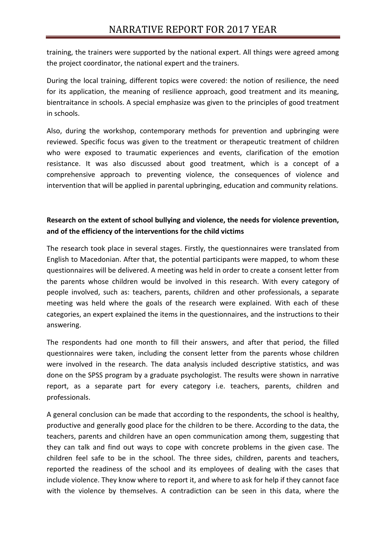training, the trainers were supported by the national expert. All things were agreed among the project coordinator, the national expert and the trainers.

During the local training, different topics were covered: the notion of resilience, the need for its application, the meaning of resilience approach, good treatment and its meaning, bientraitance in schools. A special emphasize was given to the principles of good treatment in schools.

Also, during the workshop, contemporary methods for prevention and upbringing were reviewed. Specific focus was given to the treatment or therapeutic treatment of children who were exposed to traumatic experiences and events, clarification of the emotion resistance. It was also discussed about good treatment, which is a concept of a comprehensive approach to preventing violence, the consequences of violence and intervention that will be applied in parental upbringing, education and community relations.

## **Research on the extent of school bullying and violence, the needs for violence prevention, and of the efficiency of the interventions for the child victims**

The research took place in several stages. Firstly, the questionnaires were translated from English to Macedonian. After that, the potential participants were mapped, to whom these questionnaires will be delivered. A meeting was held in order to create a consent letter from the parents whose children would be involved in this research. With every category of people involved, such as: teachers, parents, children and other professionals, a separate meeting was held where the goals of the research were explained. With each of these categories, an expert explained the items in the questionnaires, and the instructions to their answering.

The respondents had one month to fill their answers, and after that period, the filled questionnaires were taken, including the consent letter from the parents whose children were involved in the research. The data analysis included descriptive statistics, and was done on the SPSS program by a graduate psychologist. The results were shown in narrative report, as a separate part for every category i.e. teachers, parents, children and professionals.

A general conclusion can be made that according to the respondents, the school is healthy, productive and generally good place for the children to be there. According to the data, the teachers, parents and children have an open communication among them, suggesting that they can talk and find out ways to cope with concrete problems in the given case. The children feel safe to be in the school. The three sides, children, parents and teachers, reported the readiness of the school and its employees of dealing with the cases that include violence. They know where to report it, and where to ask for help if they cannot face with the violence by themselves. A contradiction can be seen in this data, where the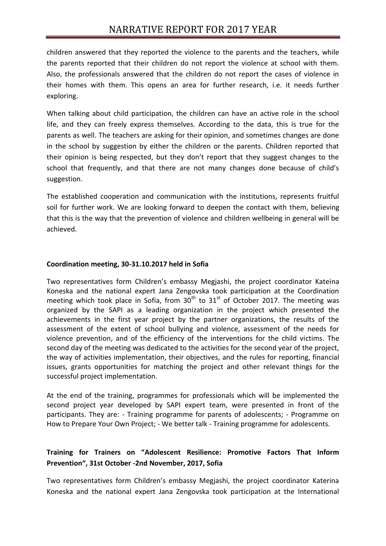children answered that they reported the violence to the parents and the teachers, while the parents reported that their children do not report the violence at school with them. Also, the professionals answered that the children do not report the cases of violence in their homes with them. This opens an area for further research, i.e. it needs further exploring.

When talking about child participation, the children can have an active role in the school life, and they can freely express themselves. According to the data, this is true for the parents as well. The teachers are asking for their opinion, and sometimes changes are done in the school by suggestion by either the children or the parents. Children reported that their opinion is being respected, but they don't report that they suggest changes to the school that frequently, and that there are not many changes done because of child's suggestion.

The established cooperation and communication with the institutions, represents fruitful soil for further work. We are looking forward to deepen the contact with them, believing that this is the way that the prevention of violence and children wellbeing in general will be achieved.

#### **Coordination meeting, 30-31.10.2017 held in Sofia**

Two representatives form Children's embassy Megjashi, the project coordinator Kateina Koneska and the national expert Jana Zengovska took participation at the Coordination meeting which took place in Sofia, from  $30<sup>th</sup>$  to  $31<sup>st</sup>$  of October 2017. The meeting was organized by the SAPI as a leading organization in the project which presented the achievements in the first year project by the partner organizations, the results of the assessment of the extent of school bullying and violence, assessment of the needs for violence prevention, and of the efficiency of the interventions for the child victims. The second day of the meeting was dedicated to the activities for the second year of the project, the way of activities implementation, their objectives, and the rules for reporting, financial issues, grants opportunities for matching the project and other relevant things for the successful project implementation.

At the end of the training, programmes for professionals which will be implemented the second project year developed by SAPI expert team, were presented in front of the participants. They are: - Training programme for parents of adolescents; - Programme on How to Prepare Your Own Project; - We better talk - Training programme for adolescents.

## **Training for Trainers on "Adolescent Resilience: Promotive Factors That Inform Prevention", 31st October -2nd November, 2017, Sofia**

Two representatives form Children's embassy Megjashi, the project coordinator Katerina Koneska and the national expert Jana Zengovska took participation at the International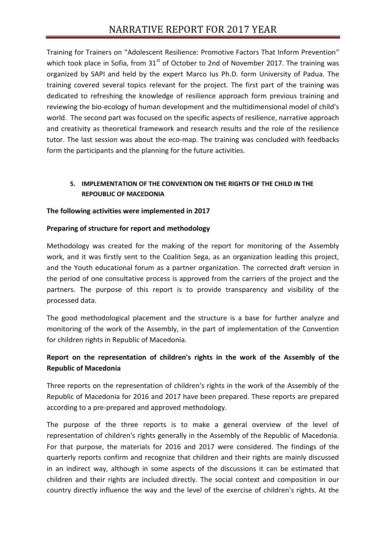Training for Trainers on "Adolescent Resilience: Promotive Factors That Inform Prevention" which took place in Sofia, from  $31<sup>st</sup>$  of October to 2nd of November 2017. The training was organized by SAPI and held by the expert Marco Ius Ph.D. form University of Padua. The training covered several topics relevant for the project. The first part of the training was dedicated to refreshing the knowledge of resilience approach form previous training and reviewing the bio-ecology of human development and the multidimensional model of child's world. The second part was focused on the specific aspects of resilience, narrative approach and creativity as theoretical framework and research results and the role of the resilience tutor. The last session was about the eco-map. The training was concluded with feedbacks form the participants and the planning for the future activities.

## **5. IMPLEMENTATION OF THE CONVENTION ON THE RIGHTS OF THE CHILD IN THE REPOUBLIC OF MACEDONIA**

## **The following activities were implemented in 2017**

## **Preparing of structure for report and methodology**

Мethodology was created for the making of the report for monitoring of the Assembly work, and it was firstly sent to the Coalition Sega, as an organization leading this project, and the Youth educational forum as a partner organization. The corrected draft version in the period of one consultative process is approved from the carriers of the project and the partners. The purpose of this report is to provide transparency and visibility of the processed data.

The good methodological placement and the structure is a base for further analyze and monitoring of the work of the Assembly, in the part of implementation of the Convention for children rights in Republic of Macedonia.

## **Report on the representation of children's rights in the work of the Assembly of the Republic of Macedonia**

Three reports on the representation of children's rights in the work of the Assembly of the Republic of Macedonia for 2016 and 2017 have been prepared. These reports are prepared according to a pre-prepared and approved methodology.

Тhe purpose of the three reports is to make a general overview of the level of representation of children's rights generally in the Assembly of the Republic of Macedonia. For that purpose, the materials for 2016 and 2017 were considered. The findings of the quarterly reports confirm and recognize that children and their rights are mainly discussed in an indirect way, although in some aspects of the discussions it can be estimated that children and their rights are included directly. The social context and composition in our country directly influence the way and the level of the exercise of children's rights. At the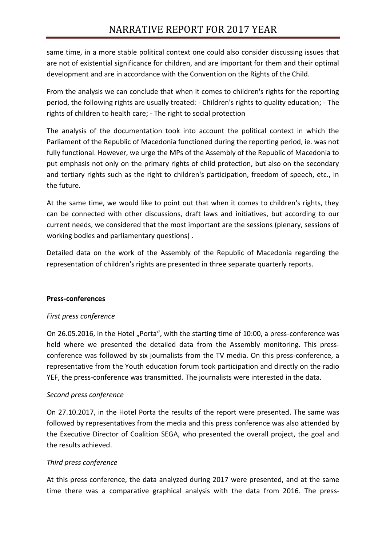same time, in a more stable political context one could also consider discussing issues that are not of existential significance for children, and are important for them and their optimal development and are in accordance with the Convention on the Rights of the Child.

From the analysis we can conclude that when it comes to children's rights for the reporting period, the following rights are usually treated: - Children's rights to quality education; - The rights of children to health care; - The right to social protection

The analysis of the documentation took into account the political context in which the Parliament of the Republic of Macedonia functioned during the reporting period, ie. was not fully functional. However, we urge the MPs of the Assembly of the Republic of Macedonia to put emphasis not only on the primary rights of child protection, but also on the secondary and tertiary rights such as the right to children's participation, freedom of speech, etc., in the future.

At the same time, we would like to point out that when it comes to children's rights, they can be connected with other discussions, draft laws and initiatives, but according to our current needs, we considered that the most important are the sessions (plenary, sessions of working bodies and parliamentary questions) .

Detailed data on the work of the Assembly of the Republic of Macedonia regarding the representation of children's rights are presented in three separate quarterly reports.

## **Press-conferences**

## *First press conference*

On 26.05.2016, in the Hotel "Porta", with the starting time of 10:00, a press-conference was held where we presented the detailed data from the Assembly monitoring. This pressconference was followed by six journalists from the TV media. On this press-conference, a representative from the Youth education forum took participation and directly on the radio YEF, the press-conference was transmitted. The journalists were interested in the data.

## *Second press conference*

On 27.10.2017, in the Hotel Porta the results of the report were presented. The same was followed by representatives from the media and this press conference was also attended by the Executive Director of Coalition SEGA, who presented the overall project, the goal and the results achieved.

## *Тhird press conference*

At this press conference, the data analyzed during 2017 were presented, and at the same time there was a comparative graphical analysis with the data from 2016. The press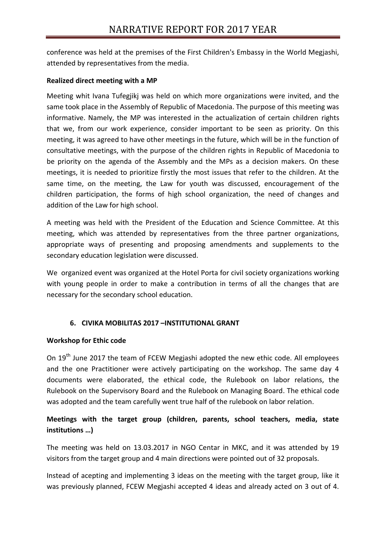conference was held at the premises of the First Children's Embassy in the World Megjashi, attended by representatives from the media.

## **Realized direct meeting with a MP**

Мeeting whit Ivana Tufegjikj was held on which more organizations were invited, and the same took place in the Assembly of Republic of Macedonia. The purpose of this meeting was informative. Namely, the MP was interested in the actualization of certain children rights that we, from our work experience, consider important to be seen as priority. On this meeting, it was agreed to have other meetings in the future, which will be in the function of consultative meetings, with the purpose of the children rights in Republic of Macedonia to be priority on the agenda of the Assembly and the MPs as a decision makers. On these meetings, it is needed to prioritize firstly the most issues that refer to the children. At the same time, on the meeting, the Law for youth was discussed, encouragement of the children participation, the forms of high school organization, the need of changes and addition of the Law for high school.

A meeting was held with the President of the Education and Science Committee. At this meeting, which was attended by representatives from the three partner organizations, appropriate ways of presenting and proposing amendments and supplements to the secondary education legislation were discussed.

We organized event was organized at the Hotel Porta for civil society organizations working with young people in order to make a contribution in terms of all the changes that are necessary for the secondary school education.

## **6. CIVIKA MOBILITAS 2017 –INSTITUTIONAL GRANT**

## **Workshop for Ethic code**

On 19<sup>th</sup> June 2017 the team of FCEW Megjashi adopted the new ethic code. All employees and the one Practitioner were actively participating on the workshop. The same day 4 documents were elaborated, the ethical code, the Rulebook on labor relations, the Rulebook on the Supervisory Board and the Rulebook on Managing Board. The ethical code was adopted and the team carefully went true half of the rulebook on labor relation.

## **Meetings with the target group (children, parents, school teachers, media, state institutions …)**

The meeting was held on 13.03.2017 in NGO Centar in MKC, and it was attended by 19 visitors from the target group and 4 main directions were pointed out of 32 proposals.

Instead of acepting and implementing 3 ideas on the meeting with the target group, like it was previously planned, FCEW Megjashi accepted 4 ideas and already acted on 3 out of 4.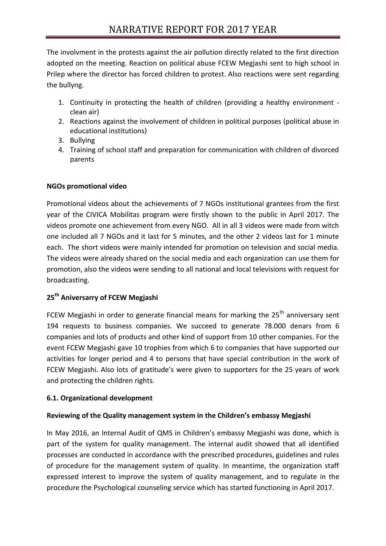The involvment in the protests against the air pollution directly related to the first direction adopted on the meeting. Reaction on political abuse FCEW Megjashi sent to high school in Prilep where the director has forced children to protest. Also reactions were sent regarding the bullyng.

- 1. Continuity in protecting the health of children (providing a healthy environment clean air)
- 2. Reactions against the involvement of children in political purposes (political abuse in educational institutions)
- 3. Bullying
- 4. Training of school staff and preparation for communication with children of divorced parents

## **NGOs promotional video**

Promotional videos about the achievements of 7 NGOs institutional grantees from the first year of the CIVICA Mobilitas program were firstly shown to the public in April 2017. The videos promote one achievement from every NGO. All in all 3 videos were made from witch one included all 7 NGOs and it last for 5 minutes, and the other 2 videos last for 1 minute each. The short videos were mainly intended for promotion on television and social media. The videos were already shared on the social media and each organization can use them for promotion, also the videos were sending to all national and local televisions with request for broadcasting.

## **25th Aniversarry of FCEW Megjashi**

FCEW Megjashi in order to generate financial means for marking the  $25<sup>th</sup>$  anniversary sent 194 requests to business companies. We succeed to generate 78.000 denars from 6 companies and lots of products and other kind of support from 10 other companies. For the event FCEW Megjashi gave 10 trophies from which 6 to companies that have supported our activities for longer period and 4 to persons that have special contribution in the work of FCEW Megjashi. Also lots of gratitude's were given to supporters for the 25 years of work and protecting the children rights.

## **6.1. Organizational development**

## **Reviewing of the Quality management system in the Children's embassy Megjashi**

In May 2016, an Internal Audit of QMS in Children's embassy Megjashi was done, which is part of the system for quality management. The internal audit showed that all identified processes are conducted in accordance with the prescribed procedures, guidelines and rules of procedure for the management system of quality. In meantime, the organization staff expressed interest to improve the system of quality management, and to regulate in the procedure the Psychological counseling service which has started functioning in April 2017.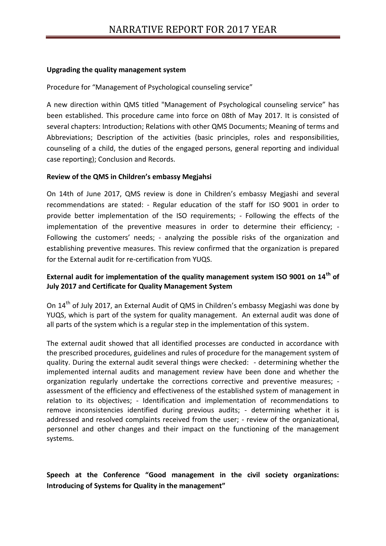#### **Upgrading the quality management system**

Procedure for "Management of Psychological counseling service"

A new direction within QMS titled "Management of Psychological counseling service" has been established. This procedure came into force on 08th of May 2017. It is consisted of several chapters: Introduction; Relations with other QMS Documents; Meaning of terms and Abbreviations; Description of the activities (basic principles, roles and responsibilities, counseling of a child, the duties of the engaged persons, general reporting and individual case reporting); Conclusion and Records.

#### **Review of the QMS in Children's embassy Megjahsi**

On 14th of June 2017, QMS review is done in Children's embassy Megjashi and several recommendations are stated: - Regular education of the staff for ISO 9001 in order to provide better implementation of the ISO requirements; - Following the effects of the implementation of the preventive measures in order to determine their efficiency; - Following the customers' needs; - analyzing the possible risks of the organization and establishing preventive measures. This review confirmed that the organization is prepared for the External audit for re-certification from YUQS.

## **External audit for implementation of the quality management system ISO 9001 on 14th of July 2017 and Certificate for Quality Management System**

On 14th of July 2017, an External Audit of QMS in Children's embassy Megjashi was done by YUQS, which is part of the system for quality management. An external audit was done of all parts of the system which is a regular step in the implementation of this system.

The external audit showed that all identified processes are conducted in accordance with the prescribed procedures, guidelines and rules of procedure for the management system of quality. During the external audit several things were checked: - determining whether the implemented internal audits and management review have been done and whether the organization regularly undertake the corrections corrective and preventive measures; assessment of the efficiency and effectiveness of the established system of management in relation to its objectives; - Identification and implementation of recommendations to remove inconsistencies identified during previous audits; - determining whether it is addressed and resolved complaints received from the user; - review of the organizational, personnel and other changes and their impact on the functioning of the management systems.

**Speech at the Conference "Good management in the civil society organizations: Introducing of Systems for Quality in the management"**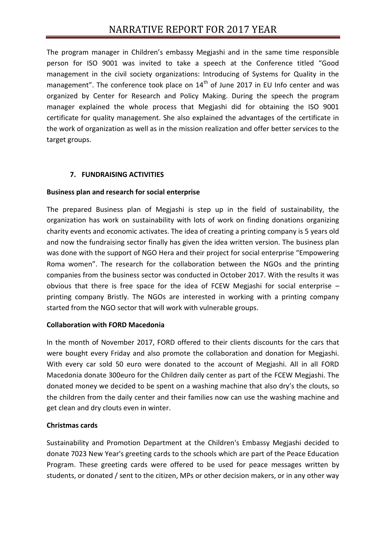The program manager in Children's embassy Megjashi and in the same time responsible person for ISO 9001 was invited to take a speech at the Conference titled "Good management in the civil society organizations: Introducing of Systems for Quality in the management". The conference took place on  $14<sup>th</sup>$  of June 2017 in EU Info center and was organized by Center for Research and Policy Making. During the speech the program manager explained the whole process that Megjashi did for obtaining the ISO 9001 certificate for quality management. She also explained the advantages of the certificate in the work of organization as well as in the mission realization and offer better services to the target groups.

## **7. FUNDRAISING ACTIVITIES**

## **Business plan and research for social enterprise**

The prepared Business plan of Megjashi is step up in the field of sustainability, the organization has work on sustainability with lots of work on finding donations organizing charity events and economic activates. The idea of creating a printing company is 5 years old and now the fundraising sector finally has given the idea written version. The business plan was done with the support of NGO Hera and their project for social enterprise "Empowering Roma women". The research for the collaboration between the NGOs and the printing companies from the business sector was conducted in October 2017. With the results it was obvious that there is free space for the idea of FCEW Megjashi for social enterprise – printing company Bristly. The NGOs are interested in working with a printing company started from the NGO sector that will work with vulnerable groups.

## **Collaboration with FORD Macedonia**

In the month of November 2017, FORD offered to their clients discounts for the cars that were bought every Friday and also promote the collaboration and donation for Megjashi. With every car sold 50 euro were donated to the account of Megjashi. All in all FORD Macedonia donate 300euro for the Children daily center as part of the FCEW Megjashi. The donated money we decided to be spent on a washing machine that also dry's the clouts, so the children from the daily center and their families now can use the washing machine and get clean and dry clouts even in winter.

## **Christmas cards**

Sustainability and Promotion Department at the Children's Embassy Megjashi decided to donate 7023 New Year's greeting cards to the schools which are part of the Peace Education Program. These greeting cards were offered to be used for peace messages written by students, or donated / sent to the citizen, MPs or other decision makers, or in any other way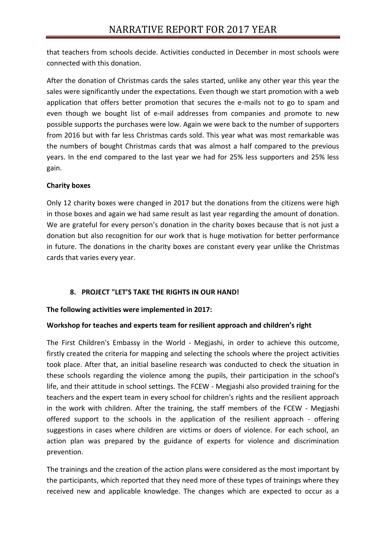that teachers from schools decide. Activities conducted in December in most schools were connected with this donation.

After the donation of Christmas cards the sales started, unlike any other year this year the sales were significantly under the expectations. Even though we start promotion with a web application that offers better promotion that secures the e-mails not to go to spam and even though we bought list of e-mail addresses from companies and promote to new possible supports the purchases were low. Again we were back to the number of supporters from 2016 but with far less Christmas cards sold. This year what was most remarkable was the numbers of bought Christmas cards that was almost a half compared to the previous years. In the end compared to the last year we had for 25% less supporters and 25% less gain.

## **Charity boxes**

Only 12 charity boxes were changed in 2017 but the donations from the citizens were high in those boxes and again we had same result as last year regarding the amount of donation. We are grateful for every person's donation in the charity boxes because that is not just a donation but also recognition for our work that is huge motivation for better performance in future. The donations in the charity boxes are constant every year unlike the Christmas cards that varies every year.

## **8. PROJECT "LET'S TAKE THE RIGHTS IN OUR HAND!**

## **The following activities were implemented in 2017:**

## **Workshop for teaches and experts team for resilient approach and children's right**

The First Children's Embassy in the World - Megjashi, in order to achieve this outcome, firstly created the criteria for mapping and selecting the schools where the project activities took place. After that, an initial baseline research was conducted to check the situation in these schools regarding the violence among the pupils, their participation in the school's life, and their attitude in school settings. The FCEW - Megjashi also provided training for the teachers and the expert team in every school for children's rights and the resilient approach in the work with children. After the training, the staff members of the FCEW - Megjashi offered support to the schools in the application of the resilient approach - offering suggestions in cases where children are victims or doers of violence. For each school, an action plan was prepared by the guidance of experts for violence and discrimination prevention.

The trainings and the creation of the action plans were considered as the most important by the participants, which reported that they need more of these types of trainings where they received new and applicable knowledge. The changes which are expected to occur as a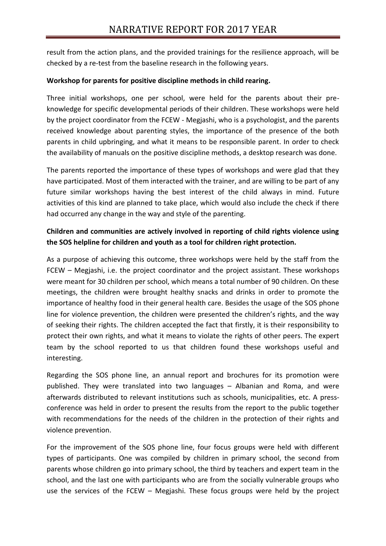result from the action plans, and the provided trainings for the resilience approach, will be checked by a re-test from the baseline research in the following years.

## **Workshop for parents for positive discipline methods in child rearing.**

Three initial workshops, one per school, were held for the parents about their preknowledge for specific developmental periods of their children. These workshops were held by the project coordinator from the FCEW - Megjashi, who is a psychologist, and the parents received knowledge about parenting styles, the importance of the presence of the both parents in child upbringing, and what it means to be responsible parent. In order to check the availability of manuals on the positive discipline methods, a desktop research was done.

The parents reported the importance of these types of workshops and were glad that they have participated. Most of them interacted with the trainer, and are willing to be part of any future similar workshops having the best interest of the child always in mind. Future activities of this kind are planned to take place, which would also include the check if there had occurred any change in the way and style of the parenting.

## **Children and communities are actively involved in reporting of child rights violence using the SOS helpline for children and youth as a tool for children right protection.**

As a purpose of achieving this outcome, three workshops were held by the staff from the FCEW – Megjashi, i.e. the project coordinator and the project assistant. These workshops were meant for 30 children per school, which means a total number of 90 children. On these meetings, the children were brought healthy snacks and drinks in order to promote the importance of healthy food in their general health care. Besides the usage of the SOS phone line for violence prevention, the children were presented the children's rights, and the way of seeking their rights. The children accepted the fact that firstly, it is their responsibility to protect their own rights, and what it means to violate the rights of other peers. The expert team by the school reported to us that children found these workshops useful and interesting.

Regarding the SOS phone line, an annual report and brochures for its promotion were published. They were translated into two languages – Albanian and Roma, and were afterwards distributed to relevant institutions such as schools, municipalities, etc. A pressconference was held in order to present the results from the report to the public together with recommendations for the needs of the children in the protection of their rights and violence prevention.

For the improvement of the SOS phone line, four focus groups were held with different types of participants. One was compiled by children in primary school, the second from parents whose children go into primary school, the third by teachers and expert team in the school, and the last one with participants who are from the socially vulnerable groups who use the services of the FCEW – Megjashi. These focus groups were held by the project